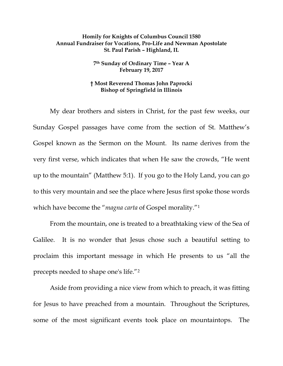## **Homily for Knights of Columbus Council 1580 Annual Fundraiser for Vocations, Pro-Life and Newman Apostolate St. Paul Parish – Highland, IL**

## **7th Sunday of Ordinary Time – Year A February 19, 2017**

## **† Most Reverend Thomas John Paprocki Bishop of Springfield in Illinois**

My dear brothers and sisters in Christ, for the past few weeks, our Sunday Gospel passages have come from the section of St. Matthew's Gospel known as the Sermon on the Mount. Its name derives from the very first verse, which indicates that when He saw the crowds, "He went up to the mountain" (Matthew 5:1). If you go to the Holy Land, you can go to this very mountain and see the place where Jesus first spoke those words which have become the "*magna carta* of Gospel morality."[1](#page-6-0)

From the mountain, one is treated to a breathtaking view of the Sea of Galilee. It is no wonder that Jesus chose such a beautiful setting to proclaim this important message in which He presents to us "all the precepts needed to shape one's life."[2](#page-6-1)

Aside from providing a nice view from which to preach, it was fitting for Jesus to have preached from a mountain. Throughout the Scriptures, some of the most significant events took place on mountaintops. The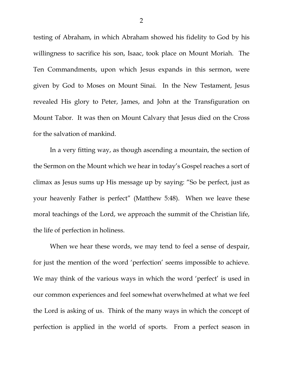testing of Abraham, in which Abraham showed his fidelity to God by his willingness to sacrifice his son, Isaac, took place on Mount Moriah. The Ten Commandments, upon which Jesus expands in this sermon, were given by God to Moses on Mount Sinai. In the New Testament, Jesus revealed His glory to Peter, James, and John at the Transfiguration on Mount Tabor. It was then on Mount Calvary that Jesus died on the Cross for the salvation of mankind.

In a very fitting way, as though ascending a mountain, the section of the Sermon on the Mount which we hear in today's Gospel reaches a sort of climax as Jesus sums up His message up by saying: "So be perfect, just as your heavenly Father is perfect" (Matthew 5:48). When we leave these moral teachings of the Lord, we approach the summit of the Christian life, the life of perfection in holiness.

When we hear these words, we may tend to feel a sense of despair, for just the mention of the word 'perfection' seems impossible to achieve. We may think of the various ways in which the word 'perfect' is used in our common experiences and feel somewhat overwhelmed at what we feel the Lord is asking of us. Think of the many ways in which the concept of perfection is applied in the world of sports. From a perfect season in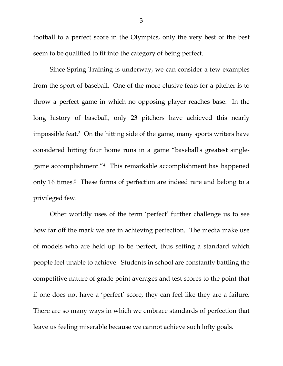football to a perfect score in the Olympics, only the very best of the best seem to be qualified to fit into the category of being perfect.

Since Spring Training is underway, we can consider a few examples from the sport of baseball. One of the more elusive feats for a pitcher is to throw a perfect game in which no opposing player reaches base. In the long history of baseball, only 23 pitchers have achieved this nearly impossible feat.[3](#page-6-2) On the hitting side of the game, many sports writers have considered hitting four home runs in a game "baseball's greatest singlegame accomplishment."[4](#page-6-3) This remarkable accomplishment has happened only 16 times.<sup>[5](#page-6-4)</sup> These forms of perfection are indeed rare and belong to a privileged few.

Other worldly uses of the term 'perfect' further challenge us to see how far off the mark we are in achieving perfection. The media make use of models who are held up to be perfect, thus setting a standard which people feel unable to achieve. Students in school are constantly battling the competitive nature of grade point averages and test scores to the point that if one does not have a 'perfect' score, they can feel like they are a failure. There are so many ways in which we embrace standards of perfection that leave us feeling miserable because we cannot achieve such lofty goals.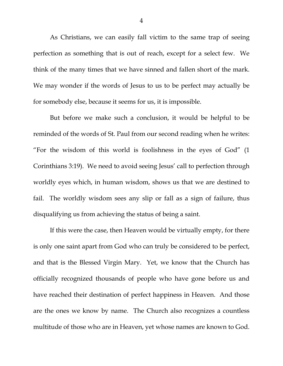As Christians, we can easily fall victim to the same trap of seeing perfection as something that is out of reach, except for a select few. We think of the many times that we have sinned and fallen short of the mark. We may wonder if the words of Jesus to us to be perfect may actually be for somebody else, because it seems for us, it is impossible.

But before we make such a conclusion, it would be helpful to be reminded of the words of St. Paul from our second reading when he writes: "For the wisdom of this world is foolishness in the eyes of God" (1 Corinthians 3:19). We need to avoid seeing Jesus' call to perfection through worldly eyes which, in human wisdom, shows us that we are destined to fail. The worldly wisdom sees any slip or fall as a sign of failure, thus disqualifying us from achieving the status of being a saint.

If this were the case, then Heaven would be virtually empty, for there is only one saint apart from God who can truly be considered to be perfect, and that is the Blessed Virgin Mary. Yet, we know that the Church has officially recognized thousands of people who have gone before us and have reached their destination of perfect happiness in Heaven. And those are the ones we know by name. The Church also recognizes a countless multitude of those who are in Heaven, yet whose names are known to God.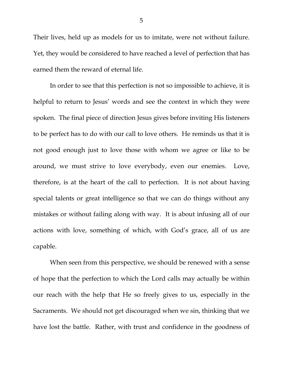Their lives, held up as models for us to imitate, were not without failure. Yet, they would be considered to have reached a level of perfection that has earned them the reward of eternal life.

In order to see that this perfection is not so impossible to achieve, it is helpful to return to Jesus' words and see the context in which they were spoken. The final piece of direction Jesus gives before inviting His listeners to be perfect has to do with our call to love others. He reminds us that it is not good enough just to love those with whom we agree or like to be around, we must strive to love everybody, even our enemies. Love, therefore, is at the heart of the call to perfection. It is not about having special talents or great intelligence so that we can do things without any mistakes or without failing along with way. It is about infusing all of our actions with love, something of which, with God's grace, all of us are capable.

When seen from this perspective, we should be renewed with a sense of hope that the perfection to which the Lord calls may actually be within our reach with the help that He so freely gives to us, especially in the Sacraments. We should not get discouraged when we sin, thinking that we have lost the battle. Rather, with trust and confidence in the goodness of

5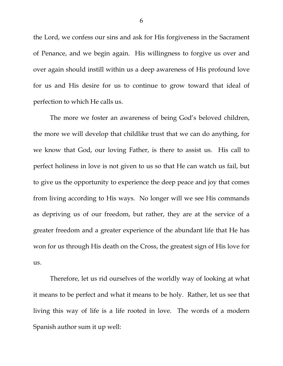the Lord, we confess our sins and ask for His forgiveness in the Sacrament of Penance, and we begin again. His willingness to forgive us over and over again should instill within us a deep awareness of His profound love for us and His desire for us to continue to grow toward that ideal of perfection to which He calls us.

The more we foster an awareness of being God's beloved children, the more we will develop that childlike trust that we can do anything, for we know that God, our loving Father, is there to assist us. His call to perfect holiness in love is not given to us so that He can watch us fail, but to give us the opportunity to experience the deep peace and joy that comes from living according to His ways. No longer will we see His commands as depriving us of our freedom, but rather, they are at the service of a greater freedom and a greater experience of the abundant life that He has won for us through His death on the Cross, the greatest sign of His love for us.

Therefore, let us rid ourselves of the worldly way of looking at what it means to be perfect and what it means to be holy. Rather, let us see that living this way of life is a life rooted in love. The words of a modern Spanish author sum it up well:

6